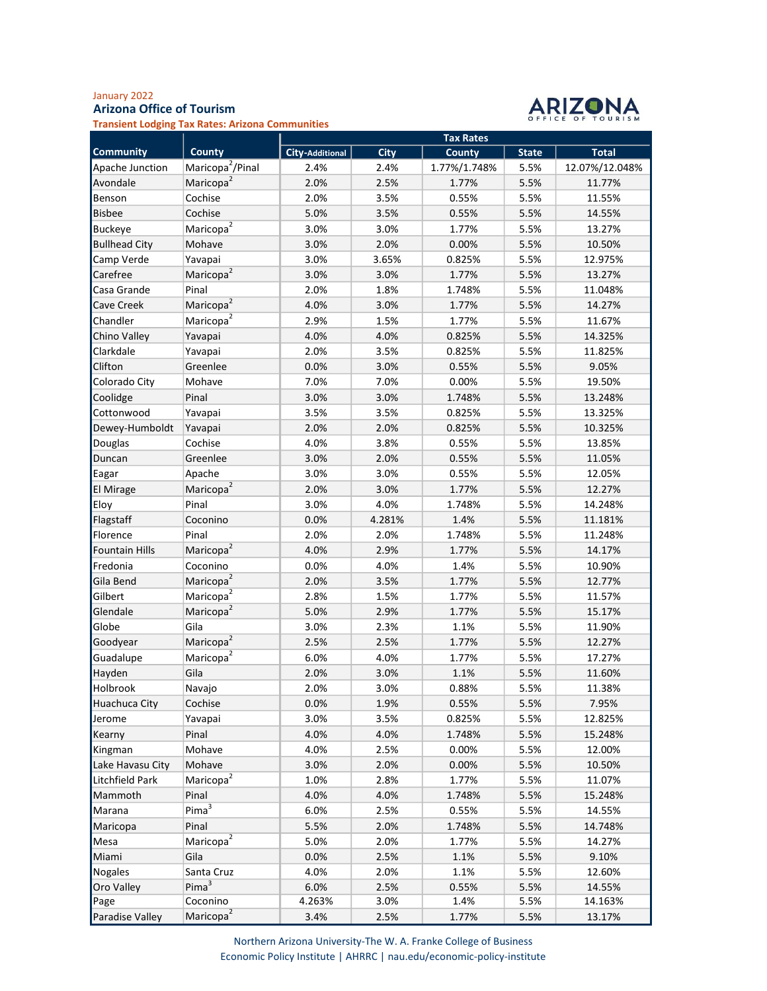## January 2022 Arizona Office of Tourism



Transient Lodging Tax Rates: Arizona Communities

| <b>Tax Rates</b> |                                                                                                                                                                                                                                                                                                                                                                                                                                                                                                                                                                                                                                                                                                                                                                                                                                                                                                                      |
|------------------|----------------------------------------------------------------------------------------------------------------------------------------------------------------------------------------------------------------------------------------------------------------------------------------------------------------------------------------------------------------------------------------------------------------------------------------------------------------------------------------------------------------------------------------------------------------------------------------------------------------------------------------------------------------------------------------------------------------------------------------------------------------------------------------------------------------------------------------------------------------------------------------------------------------------|
|                  | <b>Total</b>                                                                                                                                                                                                                                                                                                                                                                                                                                                                                                                                                                                                                                                                                                                                                                                                                                                                                                         |
|                  | 12.07%/12.048%                                                                                                                                                                                                                                                                                                                                                                                                                                                                                                                                                                                                                                                                                                                                                                                                                                                                                                       |
|                  | 11.77%                                                                                                                                                                                                                                                                                                                                                                                                                                                                                                                                                                                                                                                                                                                                                                                                                                                                                                               |
| 5.5%             | 11.55%                                                                                                                                                                                                                                                                                                                                                                                                                                                                                                                                                                                                                                                                                                                                                                                                                                                                                                               |
|                  | 14.55%                                                                                                                                                                                                                                                                                                                                                                                                                                                                                                                                                                                                                                                                                                                                                                                                                                                                                                               |
|                  | 13.27%                                                                                                                                                                                                                                                                                                                                                                                                                                                                                                                                                                                                                                                                                                                                                                                                                                                                                                               |
|                  | 10.50%                                                                                                                                                                                                                                                                                                                                                                                                                                                                                                                                                                                                                                                                                                                                                                                                                                                                                                               |
|                  | 12.975%                                                                                                                                                                                                                                                                                                                                                                                                                                                                                                                                                                                                                                                                                                                                                                                                                                                                                                              |
|                  | 13.27%                                                                                                                                                                                                                                                                                                                                                                                                                                                                                                                                                                                                                                                                                                                                                                                                                                                                                                               |
|                  | 11.048%                                                                                                                                                                                                                                                                                                                                                                                                                                                                                                                                                                                                                                                                                                                                                                                                                                                                                                              |
|                  | 14.27%                                                                                                                                                                                                                                                                                                                                                                                                                                                                                                                                                                                                                                                                                                                                                                                                                                                                                                               |
|                  | 11.67%                                                                                                                                                                                                                                                                                                                                                                                                                                                                                                                                                                                                                                                                                                                                                                                                                                                                                                               |
|                  | 14.325%                                                                                                                                                                                                                                                                                                                                                                                                                                                                                                                                                                                                                                                                                                                                                                                                                                                                                                              |
|                  | 11.825%                                                                                                                                                                                                                                                                                                                                                                                                                                                                                                                                                                                                                                                                                                                                                                                                                                                                                                              |
|                  | 9.05%                                                                                                                                                                                                                                                                                                                                                                                                                                                                                                                                                                                                                                                                                                                                                                                                                                                                                                                |
|                  | 19.50%                                                                                                                                                                                                                                                                                                                                                                                                                                                                                                                                                                                                                                                                                                                                                                                                                                                                                                               |
|                  | 13.248%                                                                                                                                                                                                                                                                                                                                                                                                                                                                                                                                                                                                                                                                                                                                                                                                                                                                                                              |
|                  | 13.325%                                                                                                                                                                                                                                                                                                                                                                                                                                                                                                                                                                                                                                                                                                                                                                                                                                                                                                              |
|                  | 10.325%                                                                                                                                                                                                                                                                                                                                                                                                                                                                                                                                                                                                                                                                                                                                                                                                                                                                                                              |
|                  | 13.85%                                                                                                                                                                                                                                                                                                                                                                                                                                                                                                                                                                                                                                                                                                                                                                                                                                                                                                               |
|                  | 11.05%                                                                                                                                                                                                                                                                                                                                                                                                                                                                                                                                                                                                                                                                                                                                                                                                                                                                                                               |
|                  | 12.05%                                                                                                                                                                                                                                                                                                                                                                                                                                                                                                                                                                                                                                                                                                                                                                                                                                                                                                               |
|                  | 12.27%                                                                                                                                                                                                                                                                                                                                                                                                                                                                                                                                                                                                                                                                                                                                                                                                                                                                                                               |
|                  | 14.248%                                                                                                                                                                                                                                                                                                                                                                                                                                                                                                                                                                                                                                                                                                                                                                                                                                                                                                              |
|                  | 11.181%                                                                                                                                                                                                                                                                                                                                                                                                                                                                                                                                                                                                                                                                                                                                                                                                                                                                                                              |
|                  | 11.248%                                                                                                                                                                                                                                                                                                                                                                                                                                                                                                                                                                                                                                                                                                                                                                                                                                                                                                              |
|                  | 14.17%                                                                                                                                                                                                                                                                                                                                                                                                                                                                                                                                                                                                                                                                                                                                                                                                                                                                                                               |
|                  | 10.90%                                                                                                                                                                                                                                                                                                                                                                                                                                                                                                                                                                                                                                                                                                                                                                                                                                                                                                               |
|                  | 12.77%                                                                                                                                                                                                                                                                                                                                                                                                                                                                                                                                                                                                                                                                                                                                                                                                                                                                                                               |
|                  | 11.57%                                                                                                                                                                                                                                                                                                                                                                                                                                                                                                                                                                                                                                                                                                                                                                                                                                                                                                               |
|                  | 15.17%                                                                                                                                                                                                                                                                                                                                                                                                                                                                                                                                                                                                                                                                                                                                                                                                                                                                                                               |
|                  | 11.90%                                                                                                                                                                                                                                                                                                                                                                                                                                                                                                                                                                                                                                                                                                                                                                                                                                                                                                               |
|                  | 12.27%                                                                                                                                                                                                                                                                                                                                                                                                                                                                                                                                                                                                                                                                                                                                                                                                                                                                                                               |
|                  | 17.27%                                                                                                                                                                                                                                                                                                                                                                                                                                                                                                                                                                                                                                                                                                                                                                                                                                                                                                               |
|                  | 11.60%                                                                                                                                                                                                                                                                                                                                                                                                                                                                                                                                                                                                                                                                                                                                                                                                                                                                                                               |
|                  | 11.38%                                                                                                                                                                                                                                                                                                                                                                                                                                                                                                                                                                                                                                                                                                                                                                                                                                                                                                               |
|                  | 7.95%                                                                                                                                                                                                                                                                                                                                                                                                                                                                                                                                                                                                                                                                                                                                                                                                                                                                                                                |
|                  | 12.825%                                                                                                                                                                                                                                                                                                                                                                                                                                                                                                                                                                                                                                                                                                                                                                                                                                                                                                              |
|                  | 15.248%                                                                                                                                                                                                                                                                                                                                                                                                                                                                                                                                                                                                                                                                                                                                                                                                                                                                                                              |
|                  | 12.00%                                                                                                                                                                                                                                                                                                                                                                                                                                                                                                                                                                                                                                                                                                                                                                                                                                                                                                               |
|                  | 10.50%                                                                                                                                                                                                                                                                                                                                                                                                                                                                                                                                                                                                                                                                                                                                                                                                                                                                                                               |
|                  | 11.07%                                                                                                                                                                                                                                                                                                                                                                                                                                                                                                                                                                                                                                                                                                                                                                                                                                                                                                               |
|                  | 15.248%                                                                                                                                                                                                                                                                                                                                                                                                                                                                                                                                                                                                                                                                                                                                                                                                                                                                                                              |
|                  | 14.55%                                                                                                                                                                                                                                                                                                                                                                                                                                                                                                                                                                                                                                                                                                                                                                                                                                                                                                               |
|                  | 14.748%                                                                                                                                                                                                                                                                                                                                                                                                                                                                                                                                                                                                                                                                                                                                                                                                                                                                                                              |
|                  | 14.27%                                                                                                                                                                                                                                                                                                                                                                                                                                                                                                                                                                                                                                                                                                                                                                                                                                                                                                               |
|                  | 9.10%                                                                                                                                                                                                                                                                                                                                                                                                                                                                                                                                                                                                                                                                                                                                                                                                                                                                                                                |
|                  | 12.60%                                                                                                                                                                                                                                                                                                                                                                                                                                                                                                                                                                                                                                                                                                                                                                                                                                                                                                               |
|                  | 14.55%                                                                                                                                                                                                                                                                                                                                                                                                                                                                                                                                                                                                                                                                                                                                                                                                                                                                                                               |
|                  | 14.163%                                                                                                                                                                                                                                                                                                                                                                                                                                                                                                                                                                                                                                                                                                                                                                                                                                                                                                              |
|                  | 13.17%                                                                                                                                                                                                                                                                                                                                                                                                                                                                                                                                                                                                                                                                                                                                                                                                                                                                                                               |
|                  | <b>County</b><br><b>State</b><br>1.77%/1.748%<br>5.5%<br>5.5%<br>1.77%<br>0.55%<br>0.55%<br>5.5%<br>1.77%<br>5.5%<br>5.5%<br>0.00%<br>0.825%<br>5.5%<br>1.77%<br>5.5%<br>1.748%<br>5.5%<br>1.77%<br>5.5%<br>1.77%<br>5.5%<br>0.825%<br>5.5%<br>5.5%<br>0.825%<br>0.55%<br>5.5%<br>5.5%<br>0.00%<br>1.748%<br>5.5%<br>0.825%<br>5.5%<br>5.5%<br>0.825%<br>5.5%<br>0.55%<br>0.55%<br>5.5%<br>0.55%<br>5.5%<br>1.77%<br>5.5%<br>1.748%<br>5.5%<br>1.4%<br>5.5%<br>1.748%<br>5.5%<br>1.77%<br>5.5%<br>1.4%<br>5.5%<br>1.77%<br>5.5%<br>1.77%<br>5.5%<br>1.77%<br>5.5%<br>1.1%<br>5.5%<br>5.5%<br>1.77%<br>1.77%<br>5.5%<br>1.1%<br>5.5%<br>0.88%<br>5.5%<br>0.55%<br>5.5%<br>5.5%<br>0.825%<br>1.748%<br>5.5%<br>0.00%<br>5.5%<br>0.00%<br>5.5%<br>1.77%<br>5.5%<br>1.748%<br>5.5%<br>0.55%<br>5.5%<br>1.748%<br>5.5%<br>1.77%<br>5.5%<br>1.1%<br>5.5%<br>1.1%<br>5.5%<br>0.55%<br>5.5%<br>1.4%<br>5.5%<br>1.77%<br>5.5% |

Northern Arizona University-The W. A. Franke College of Business Economic Policy Institute | AHRRC | nau.edu/economic-policy-institute